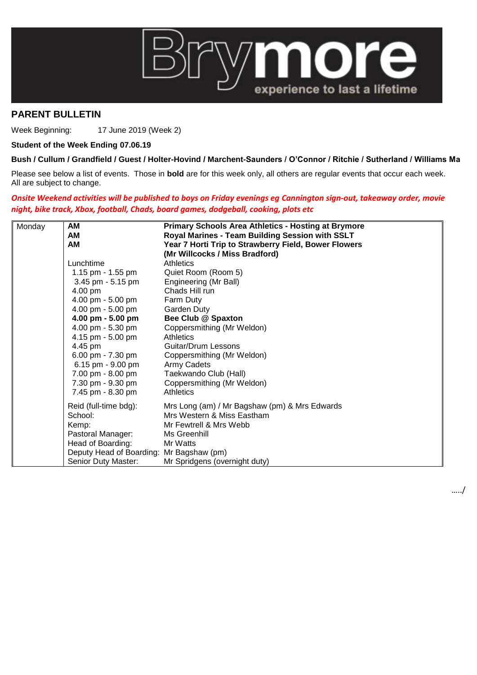

## **PARENT BULLETIN**

Week Beginning: 17 June 2019 (Week 2)

## **Student of the Week Ending 07.06.19**

## **Bush / Cullum / Grandfield / Guest / Holter-Hovind / Marchent-Saunders / O'Connor / Ritchie / Sutherland / Williams Ma**

Please see below a list of events. Those in **bold** are for this week only, all others are regular events that occur each week. All are subject to change.

*Onsite Weekend activities will be published to boys on Friday evenings eg Cannington sign-out, takeaway order, movie night, bike track, Xbox, football, Chads, board games, dodgeball, cooking, plots etc*

| Monday | АM                                       | <b>Primary Schools Area Athletics - Hosting at Brymore</b> |
|--------|------------------------------------------|------------------------------------------------------------|
|        | АM                                       | Royal Marines - Team Building Session with SSLT            |
|        | AM                                       | Year 7 Horti Trip to Strawberry Field, Bower Flowers       |
|        |                                          | (Mr Willcocks / Miss Bradford)                             |
|        | Lunchtime                                | <b>Athletics</b>                                           |
|        | 1.15 pm - $1.55$ pm                      | Quiet Room (Room 5)                                        |
|        | 3.45 pm - 5.15 pm                        | Engineering (Mr Ball)                                      |
|        | 4.00 pm                                  | Chads Hill run                                             |
|        | 4.00 pm - 5.00 pm                        | Farm Duty                                                  |
|        | 4.00 pm - 5.00 pm                        | Garden Duty                                                |
|        | 4.00 pm $-5.00$ pm                       | Bee Club @ Spaxton                                         |
|        | 4.00 pm - 5.30 pm                        | Coppersmithing (Mr Weldon)                                 |
|        | 4.15 pm - 5.00 pm                        | <b>Athletics</b>                                           |
|        | 4.45 pm                                  | Guitar/Drum Lessons                                        |
|        | 6.00 pm - 7.30 pm                        | Coppersmithing (Mr Weldon)                                 |
|        | 6.15 pm - 9.00 pm                        | Army Cadets                                                |
|        | 7.00 pm - 8.00 pm                        | Taekwando Club (Hall)                                      |
|        | 7.30 pm - 9.30 pm                        | Coppersmithing (Mr Weldon)                                 |
|        | 7.45 pm - 8.30 pm                        | <b>Athletics</b>                                           |
|        | Reid (full-time bdg):                    | Mrs Long (am) / Mr Bagshaw (pm) & Mrs Edwards              |
|        | School:                                  | Mrs Western & Miss Eastham                                 |
|        | Kemp:                                    | Mr Fewtrell & Mrs Webb                                     |
|        | Pastoral Manager:                        | Ms Greenhill                                               |
|        | Head of Boarding:                        | Mr Watts                                                   |
|        | Deputy Head of Boarding: Mr Bagshaw (pm) |                                                            |
|        | Senior Duty Master:                      | Mr Spridgens (overnight duty)                              |

…../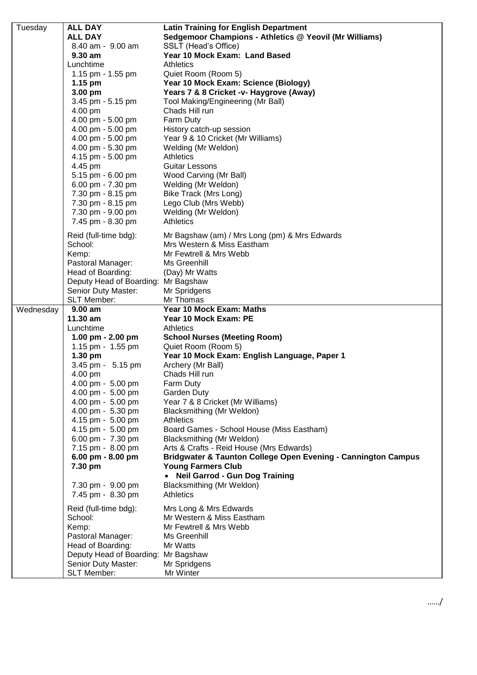| Tuesday   | ALL DAY                                   | <b>Latin Training for English Department</b>                  |
|-----------|-------------------------------------------|---------------------------------------------------------------|
|           | <b>ALL DAY</b>                            | Sedgemoor Champions - Athletics @ Yeovil (Mr Williams)        |
|           | 8.40 am - 9.00 am                         | SSLT (Head's Office)                                          |
|           | $9.30$ am                                 | Year 10 Mock Exam: Land Based                                 |
|           | Lunchtime                                 | Athletics                                                     |
|           | 1.15 pm - 1.55 pm                         | Quiet Room (Room 5)                                           |
|           | 1.15 pm                                   | Year 10 Mock Exam: Science (Biology)                          |
|           | 3.00 pm                                   | Years 7 & 8 Cricket -v- Haygrove (Away)                       |
|           | 3.45 pm - 5.15 pm                         | Tool Making/Engineering (Mr Ball)                             |
|           | 4.00 pm                                   | Chads Hill run                                                |
|           | 4.00 pm - 5.00 pm                         | Farm Duty                                                     |
|           | 4.00 pm - 5.00 pm                         | History catch-up session                                      |
|           | 4.00 pm - 5.00 pm                         | Year 9 & 10 Cricket (Mr Williams)                             |
|           | 4.00 pm - 5.30 pm                         | Welding (Mr Weldon)                                           |
|           | 4.15 pm - 5.00 pm                         | <b>Athletics</b>                                              |
|           | 4.45 pm                                   | <b>Guitar Lessons</b>                                         |
|           | 5.15 pm - 6.00 pm                         | Wood Carving (Mr Ball)                                        |
|           | 6.00 pm - 7.30 pm                         | Welding (Mr Weldon)                                           |
|           | 7.30 pm - 8.15 pm                         | <b>Bike Track (Mrs Long)</b>                                  |
|           | 7.30 pm - 8.15 pm                         | Lego Club (Mrs Webb)                                          |
|           | 7.30 pm - 9.00 pm                         | Welding (Mr Weldon)                                           |
|           | 7.45 pm - 8.30 pm                         | <b>Athletics</b>                                              |
|           |                                           |                                                               |
|           | Reid (full-time bdg):                     | Mr Bagshaw (am) / Mrs Long (pm) & Mrs Edwards                 |
|           | School:                                   | Mrs Western & Miss Eastham                                    |
|           | Kemp:                                     | Mr Fewtrell & Mrs Webb                                        |
|           | Pastoral Manager:                         | Ms Greenhill                                                  |
|           | Head of Boarding:                         | (Day) Mr Watts                                                |
|           | Deputy Head of Boarding: Mr Bagshaw       |                                                               |
|           | Senior Duty Master:                       | Mr Spridgens                                                  |
|           | SLT Member:                               | Mr Thomas                                                     |
|           |                                           |                                                               |
| Wednesday | $9.00$ am                                 | Year 10 Mock Exam: Maths                                      |
|           | 11.30 am                                  | Year 10 Mock Exam: PE                                         |
|           | Lunchtime                                 | Athletics                                                     |
|           | 1.00 pm $- 2.00$ pm                       | <b>School Nurses (Meeting Room)</b>                           |
|           | 1.15 pm - 1.55 pm                         | Quiet Room (Room 5)                                           |
|           | $1.30$ pm                                 | Year 10 Mock Exam: English Language, Paper 1                  |
|           | 3.45 pm - 5.15 pm                         | Archery (Mr Ball)                                             |
|           | 4.00 pm                                   | Chads Hill run                                                |
|           | 4.00 pm - 5.00 pm                         | <b>Farm Duty</b>                                              |
|           | 4.00 pm - 5.00 pm                         | Garden Duty                                                   |
|           | 4.00 pm - 5.00 pm                         | Year 7 & 8 Cricket (Mr Williams)                              |
|           | 4.00 pm - 5.30 pm                         | Blacksmithing (Mr Weldon)                                     |
|           | 4.15 pm - 5.00 pm                         | <b>Athletics</b>                                              |
|           | 4.15 pm - 5.00 pm                         | Board Games - School House (Miss Eastham)                     |
|           | 6.00 pm - 7.30 pm                         | Blacksmithing (Mr Weldon)                                     |
|           | 7.15 pm - 8.00 pm                         | Arts & Crafts - Reid House (Mrs Edwards)                      |
|           | 6.00 pm - 8.00 pm                         | Bridgwater & Taunton College Open Evening - Cannington Campus |
|           | 7.30 pm                                   | <b>Young Farmers Club</b>                                     |
|           |                                           | <b>Neil Garrod - Gun Dog Training</b>                         |
|           | 7.30 pm - 9.00 pm                         | Blacksmithing (Mr Weldon)                                     |
|           | 7.45 pm - 8.30 pm                         | <b>Athletics</b>                                              |
|           |                                           |                                                               |
|           | Reid (full-time bdg):<br>School:          | Mrs Long & Mrs Edwards<br>Mr Western & Miss Eastham           |
|           |                                           |                                                               |
|           | Kemp:                                     | Mr Fewtrell & Mrs Webb                                        |
|           | Pastoral Manager:                         | Ms Greenhill<br>Mr Watts                                      |
|           | Head of Boarding:                         |                                                               |
|           | Deputy Head of Boarding: Mr Bagshaw       |                                                               |
|           | Senior Duty Master:<br><b>SLT Member:</b> | Mr Spridgens<br>Mr Winter                                     |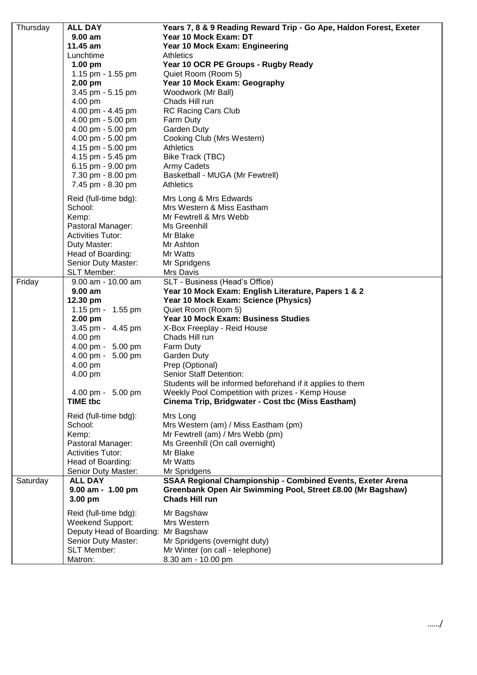| Thursday | <b>ALL DAY</b>                  | Years 7, 8 & 9 Reading Reward Trip - Go Ape, Haldon Forest, Exeter                    |
|----------|---------------------------------|---------------------------------------------------------------------------------------|
|          | $9.00$ am                       | Year 10 Mock Exam: DT                                                                 |
|          | 11.45 am                        | Year 10 Mock Exam: Engineering                                                        |
|          | Lunchtime                       | <b>Athletics</b>                                                                      |
|          | $1.00$ pm                       | Year 10 OCR PE Groups - Rugby Ready                                                   |
|          | 1.15 pm - 1.55 pm               | Quiet Room (Room 5)                                                                   |
|          | 2.00 pm                         | Year 10 Mock Exam: Geography                                                          |
|          | 3.45 pm - 5.15 pm               | Woodwork (Mr Ball)                                                                    |
|          | 4.00 pm                         | Chads Hill run                                                                        |
|          | 4.00 pm - 4.45 pm               | <b>RC Racing Cars Club</b>                                                            |
|          | 4.00 pm - 5.00 pm               | Farm Duty                                                                             |
|          | 4.00 pm - 5.00 pm               | Garden Duty                                                                           |
|          | 4.00 pm - 5.00 pm               | Cooking Club (Mrs Western)                                                            |
|          | 4.15 pm - 5.00 pm               | <b>Athletics</b>                                                                      |
|          | 4.15 pm - 5.45 pm               | Bike Track (TBC)                                                                      |
|          | 6.15 pm - 9.00 pm               | Army Cadets                                                                           |
|          | 7.30 pm - 8.00 pm               | Basketball - MUGA (Mr Fewtrell)                                                       |
|          | 7.45 pm - 8.30 pm               | <b>Athletics</b>                                                                      |
|          |                                 |                                                                                       |
|          | Reid (full-time bdg):           | Mrs Long & Mrs Edwards                                                                |
|          | School:                         | Mrs Western & Miss Eastham                                                            |
|          | Kemp:                           | Mr Fewtrell & Mrs Webb                                                                |
|          | Pastoral Manager:               | Ms Greenhill                                                                          |
|          | <b>Activities Tutor:</b>        | Mr Blake                                                                              |
|          | Duty Master:                    | Mr Ashton                                                                             |
|          | Head of Boarding:               | Mr Watts                                                                              |
|          | Senior Duty Master:             | Mr Spridgens                                                                          |
|          | SLT Member:                     | Mrs Davis                                                                             |
| Friday   | 9.00 am - 10.00 am<br>$9.00$ am | SLT - Business (Head's Office)<br>Year 10 Mock Exam: English Literature, Papers 1 & 2 |
|          | 12.30 pm                        | Year 10 Mock Exam: Science (Physics)                                                  |
|          | 1.15 pm - 1.55 pm               | Quiet Room (Room 5)                                                                   |
|          | $2.00$ pm                       | Year 10 Mock Exam: Business Studies                                                   |
|          | 3.45 pm - 4.45 pm               | X-Box Freeplay - Reid House                                                           |
|          | 4.00 pm                         | Chads Hill run                                                                        |
|          | 4.00 pm - 5.00 pm               | Farm Duty                                                                             |
|          | 4.00 pm - 5.00 pm               | <b>Garden Duty</b>                                                                    |
|          | 4.00 pm                         | Prep (Optional)                                                                       |
|          | 4.00 pm                         | <b>Senior Staff Detention:</b>                                                        |
|          |                                 | Students will be informed beforehand if it applies to them                            |
|          | 4.00 pm - 5.00 pm               | Weekly Pool Competition with prizes - Kemp House                                      |
|          | <b>TIME tbc</b>                 | Cinema Trip, Bridgwater - Cost tbc (Miss Eastham)                                     |
|          |                                 |                                                                                       |
|          | Reid (full-time bdg):           | Mrs Long                                                                              |
|          | School:                         | Mrs Western (am) / Miss Eastham (pm)                                                  |
|          | Kemp:                           | Mr Fewtrell (am) / Mrs Webb (pm)                                                      |
|          | Pastoral Manager:               | Ms Greenhill (On call overnight)                                                      |
|          | <b>Activities Tutor:</b>        | Mr Blake                                                                              |
|          | Head of Boarding:               | Mr Watts                                                                              |
|          | Senior Duty Master:             | Mr Spridgens                                                                          |
| Saturday | <b>ALL DAY</b>                  | <b>SSAA Regional Championship - Combined Events, Exeter Arena</b>                     |
|          | $9.00$ am - 1.00 pm<br>3.00 pm  | Greenbank Open Air Swimming Pool, Street £8.00 (Mr Bagshaw)<br><b>Chads Hill run</b>  |
|          | Reid (full-time bdg):           | Mr Bagshaw                                                                            |
|          | <b>Weekend Support:</b>         | Mrs Western                                                                           |
|          | Deputy Head of Boarding:        | Mr Bagshaw                                                                            |
|          | Senior Duty Master:             | Mr Spridgens (overnight duty)                                                         |
|          | <b>SLT Member:</b>              | Mr Winter (on call - telephone)                                                       |
|          | Matron:                         | 8.30 am - 10.00 pm                                                                    |